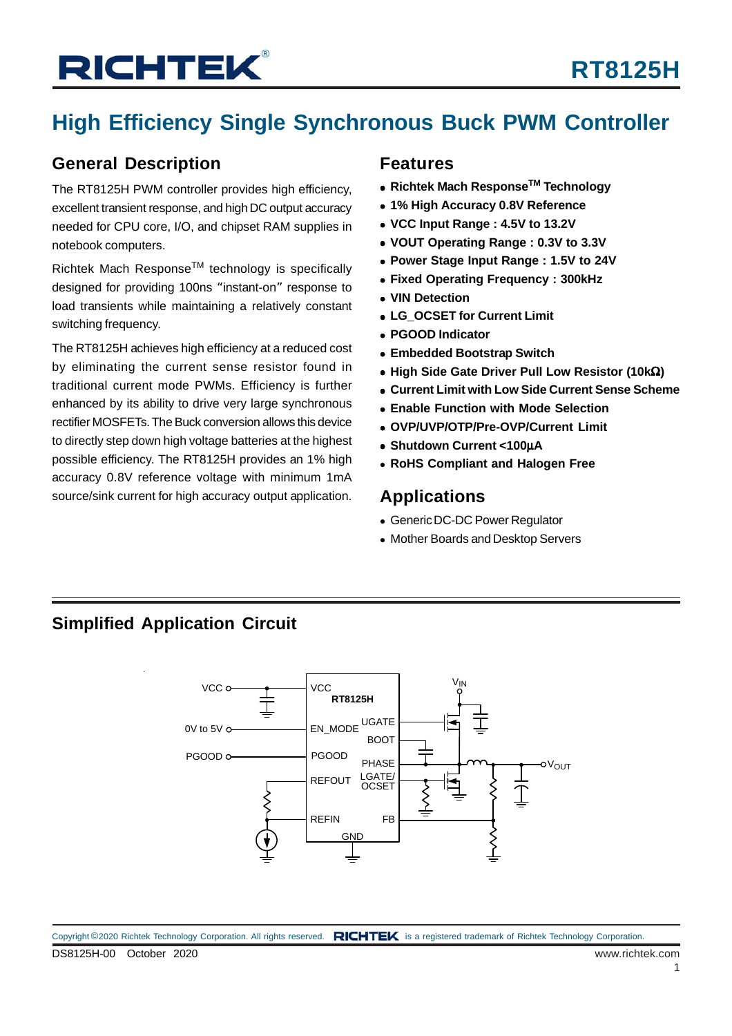## **High Efficiency Single Synchronous Buck PWM Controller**

### **General Description**

The RT8125H PWM controller provides high efficiency, excellent transient response, and high DC output accuracy needed for CPU core, I/O, and chipset RAM supplies in notebook computers.

Richtek Mach ResponseTM technology is specifically designed for providing 100ns "instant-on" response to load transients while maintaining a relatively constant switching frequency.

The RT8125H achieves high efficiency at a reduced cost by eliminating the current sense resistor found in traditional current mode PWMs. Efficiency is further enhanced by its ability to drive very large synchronous rectifier MOSFETs. The Buck conversion allows this device to directly step down high voltage batteries at the highest possible efficiency. The RT8125H provides an 1% high accuracy 0.8V reference voltage with minimum 1mA source/sink current for high accuracy output application.

#### **Features**

- **Richtek Mach ResponseTM Technology**
- **1% High Accuracy 0.8V Reference**
- **VCC Input Range : 4.5V to 13.2V**
- **VOUT Operating Range : 0.3V to 3.3V**
- **Power Stage Input Range : 1.5V to 24V**
- **Fixed Operating Frequency : 300kHz**
- **VIN Detection**
- **LG\_OCSET for Current Limit**
- **PGOOD Indicator**
- **Embedded Bootstrap Switch**
- **High Side Gate Driver Pull Low Resistor (10k**Ω**)**
- **Current Limit with Low Side Current Sense Scheme**
- **Enable Function with Mode Selection**
- **OVP/UVP/OTP/Pre-OVP/Current Limit**
- **Shutdown Current <100**μ**A**
- **RoHS Compliant and Halogen Free**

### **Applications**

- Generic DC-DC Power Regulator
- Mother Boards and Desktop Servers

### **Simplified Application Circuit**

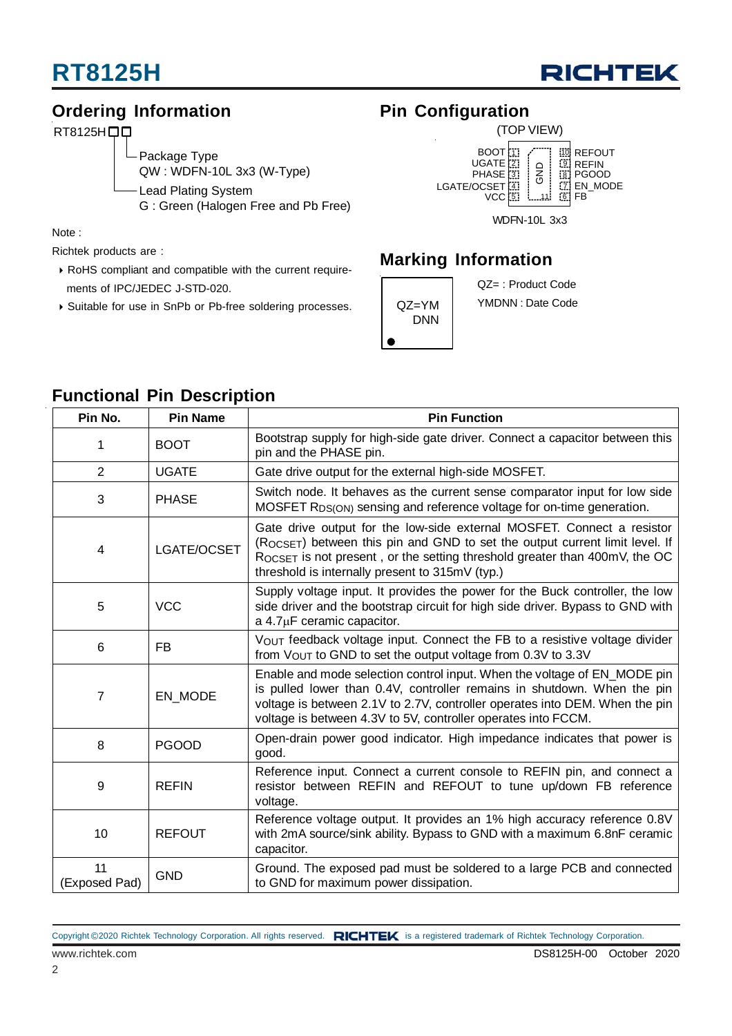

### **Ordering Information**

RT8125H<sub>D</sub>

Package Type QW : WDFN-10L 3x3 (W-Type) Lead Plating System G : Green (Halogen Free and Pb Free)

Note :

Richtek products are :

- RoHS compliant and compatible with the current require ments of IPC/JEDEC J-STD-020.
- Suitable for use in SnPb or Pb-free soldering processes.

### **Pin Configuration**



### **Marking Information**



QZ= : Product Code YMDNN : Date Code

| Pin No.             | <b>Pin Name</b> | <b>Pin Function</b>                                                                                                                                                                                                                                                                                 |
|---------------------|-----------------|-----------------------------------------------------------------------------------------------------------------------------------------------------------------------------------------------------------------------------------------------------------------------------------------------------|
|                     | <b>BOOT</b>     | Bootstrap supply for high-side gate driver. Connect a capacitor between this<br>pin and the PHASE pin.                                                                                                                                                                                              |
| $\overline{2}$      | <b>UGATE</b>    | Gate drive output for the external high-side MOSFET.                                                                                                                                                                                                                                                |
| 3                   | <b>PHASE</b>    | Switch node. It behaves as the current sense comparator input for low side<br>MOSFET R <sub>DS(ON)</sub> sensing and reference voltage for on-time generation.                                                                                                                                      |
| 4                   | LGATE/OCSET     | Gate drive output for the low-side external MOSFET. Connect a resistor<br>(ROCSET) between this pin and GND to set the output current limit level. If<br>ROCSET is not present, or the setting threshold greater than 400mV, the OC<br>threshold is internally present to 315mV (typ.)              |
| 5                   | <b>VCC</b>      | Supply voltage input. It provides the power for the Buck controller, the low<br>side driver and the bootstrap circuit for high side driver. Bypass to GND with<br>$a$ 4.7 $\mu$ F ceramic capacitor.                                                                                                |
| 6                   | <b>FB</b>       | VOUT feedback voltage input. Connect the FB to a resistive voltage divider<br>from VOUT to GND to set the output voltage from 0.3V to 3.3V                                                                                                                                                          |
| $\overline{7}$      | EN MODE         | Enable and mode selection control input. When the voltage of EN_MODE pin<br>is pulled lower than 0.4V, controller remains in shutdown. When the pin<br>voltage is between 2.1V to 2.7V, controller operates into DEM. When the pin<br>voltage is between 4.3V to 5V, controller operates into FCCM. |
| 8                   | <b>PGOOD</b>    | Open-drain power good indicator. High impedance indicates that power is<br>good.                                                                                                                                                                                                                    |
| 9                   | <b>REFIN</b>    | Reference input. Connect a current console to REFIN pin, and connect a<br>resistor between REFIN and REFOUT to tune up/down FB reference<br>voltage.                                                                                                                                                |
| 10                  | <b>REFOUT</b>   | Reference voltage output. It provides an 1% high accuracy reference 0.8V<br>with 2mA source/sink ability. Bypass to GND with a maximum 6.8nF ceramic<br>capacitor.                                                                                                                                  |
| 11<br>(Exposed Pad) | <b>GND</b>      | Ground. The exposed pad must be soldered to a large PCB and connected<br>to GND for maximum power dissipation.                                                                                                                                                                                      |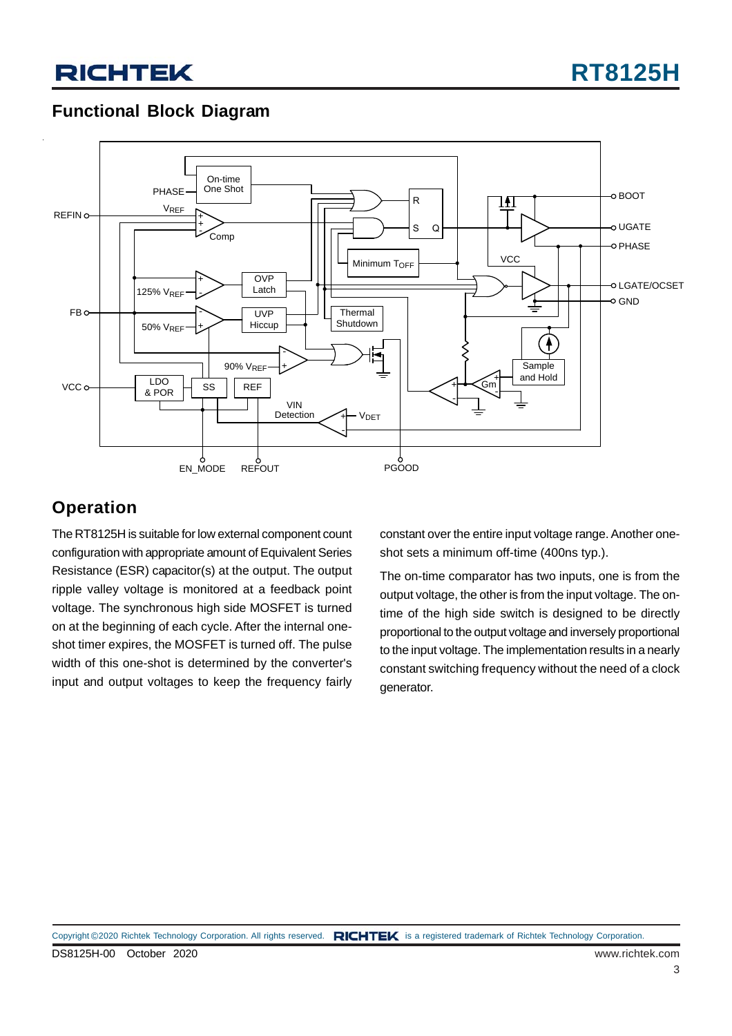### **Functional Block Diagram**



### **Operation**

The RT8125H is suitable for low external component count configuration with appropriate amount of Equivalent Series Resistance (ESR) capacitor(s) at the output. The output ripple valley voltage is monitored at a feedback point voltage. The synchronous high side MOSFET is turned on at the beginning of each cycle. After the internal oneshot timer expires, the MOSFET is turned off. The pulse width of this one-shot is determined by the converter's input and output voltages to keep the frequency fairly

constant over the entire input voltage range. Another oneshot sets a minimum off-time (400ns typ.).

The on-time comparator has two inputs, one is from the output voltage, the other is from the input voltage. The ontime of the high side switch is designed to be directly proportional to the output voltage and inversely proportional to the input voltage. The implementation results in a nearly constant switching frequency without the need of a clock generator.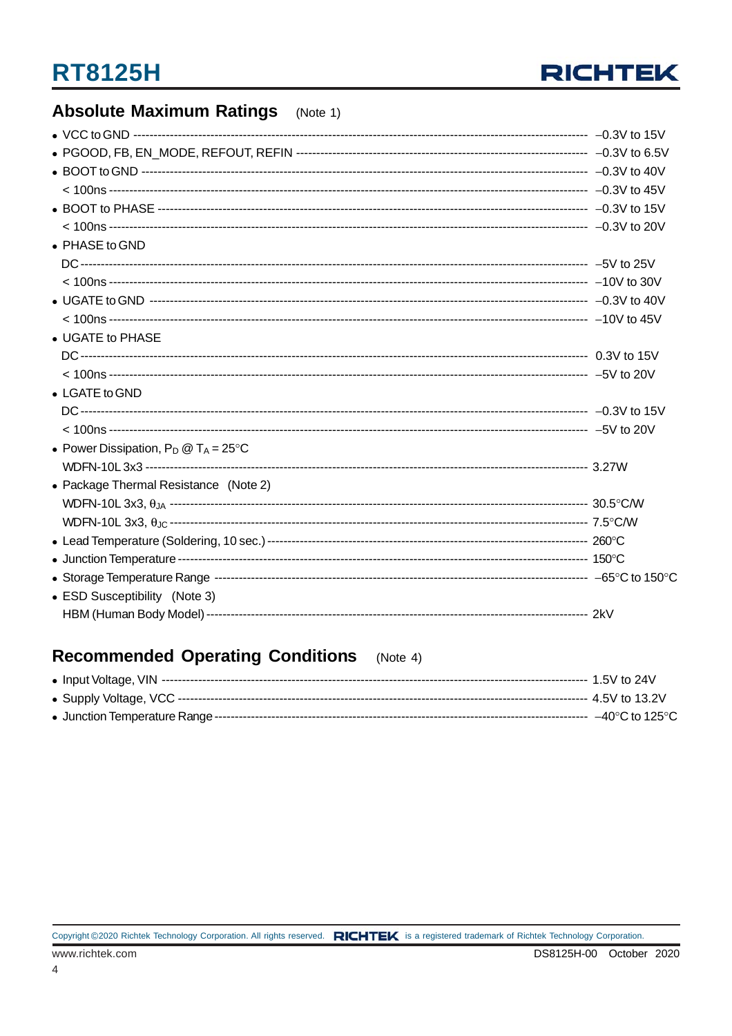

#### **Absolute Maximum Ratings**  $(Note 1)$

| • PHASE to GND                                 |  |
|------------------------------------------------|--|
|                                                |  |
|                                                |  |
|                                                |  |
|                                                |  |
| • UGATE to PHASE                               |  |
|                                                |  |
|                                                |  |
| $\bullet$ LGATE to GND                         |  |
|                                                |  |
|                                                |  |
| • Power Dissipation, $P_D @ T_A = 25^{\circ}C$ |  |
|                                                |  |
| • Package Thermal Resistance (Note 2)          |  |
|                                                |  |
|                                                |  |
|                                                |  |
|                                                |  |
|                                                |  |
| • ESD Susceptibility (Note 3)                  |  |
|                                                |  |
|                                                |  |

#### **Recommended Operating Conditions** (Note  $4$ )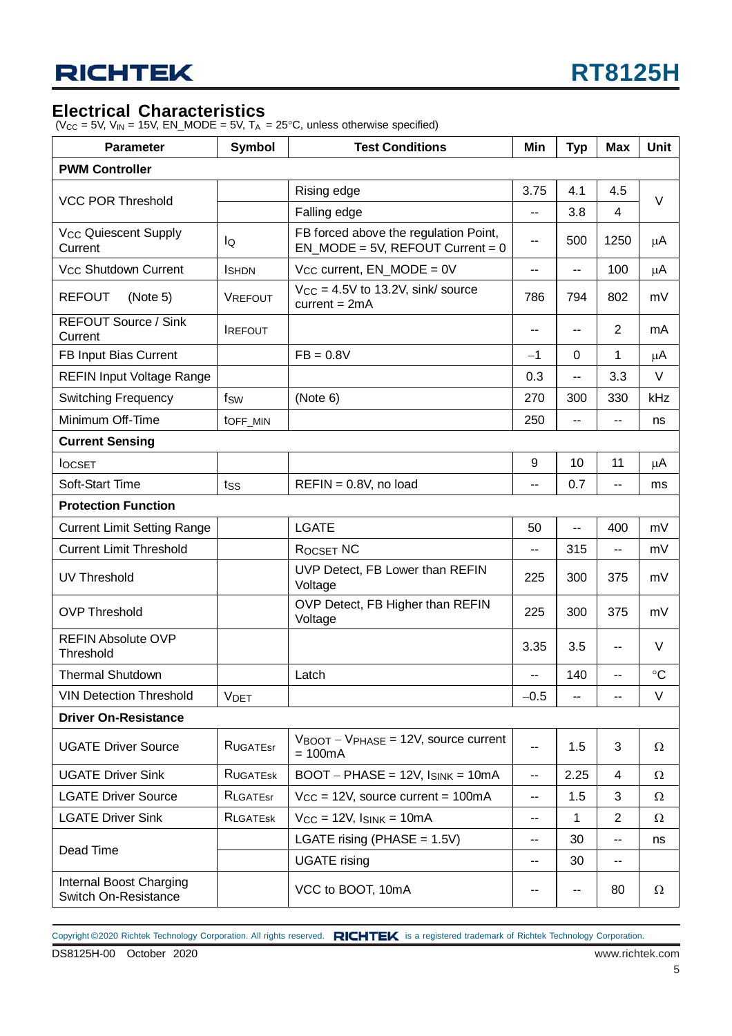#### **Electrical Characteristics**

( $V_{CC}$  = 5V,  $V_{IN}$  = 15V,  $EN\_MODE = 5V$ ,  $T_A = 25^{\circ}C$ , unless otherwise specified)

| <b>Parameter</b>                                | <b>Symbol</b>   | <b>Test Conditions</b>                                                       | Min                      | <b>Unit</b> |                |                 |
|-------------------------------------------------|-----------------|------------------------------------------------------------------------------|--------------------------|-------------|----------------|-----------------|
| <b>PWM Controller</b>                           |                 |                                                                              |                          |             |                |                 |
|                                                 |                 | Rising edge                                                                  | 3.75                     | 4.1         | 4.5            | V               |
| <b>VCC POR Threshold</b>                        |                 | Falling edge                                                                 |                          | 3.8         | 4              |                 |
| <b>Vcc Quiescent Supply</b><br>Current          | lQ              | FB forced above the regulation Point,<br>$EN_MODE = 5V$ , REFOUT Current = 0 | 500                      | 1250        | μA             |                 |
| V <sub>CC</sub> Shutdown Current                | <b>I</b> SHDN   | $V_{CC}$ current, $EN_MODE = 0V$                                             | $\overline{\phantom{a}}$ | $-$         | 100            | μA              |
| <b>REFOUT</b><br>(Note 5)                       | VREFOUT         | $V_{CC} = 4.5V$ to 13.2V, sink/ source<br>$current = 2mA$                    | 786                      | 794         | 802            | mV              |
| <b>REFOUT Source / Sink</b><br>Current          | <b>IREFOUT</b>  |                                                                              | $\sim$                   | --          | $\overline{2}$ | mA              |
| FB Input Bias Current                           |                 | $FB = 0.8V$                                                                  | $-1$                     | 0           | $\mathbf{1}$   | μA              |
| <b>REFIN Input Voltage Range</b>                |                 |                                                                              | 0.3                      | --          | 3.3            | V               |
| <b>Switching Frequency</b>                      | fsw             | (Note 6)                                                                     | 270                      | 300         | 330            | kHz             |
| Minimum Off-Time                                | toFF_MIN        |                                                                              | 250                      | $-$         | $\overline{a}$ | ns              |
| <b>Current Sensing</b>                          |                 |                                                                              |                          |             |                |                 |
| <b>IOCSET</b>                                   |                 |                                                                              | 9                        | 10          | 11             | μA              |
| <b>Soft-Start Time</b>                          | tss             | $REFIN = 0.8V$ , no load                                                     | --                       | 0.7         | --             | ms              |
| <b>Protection Function</b>                      |                 |                                                                              |                          |             |                |                 |
| <b>Current Limit Setting Range</b>              |                 | <b>LGATE</b>                                                                 | 50                       | $-$         | 400            | mV              |
| <b>Current Limit Threshold</b>                  |                 | ROCSET NC                                                                    | $\overline{a}$           | 315         | $\overline{a}$ | mV              |
| <b>UV Threshold</b>                             |                 | UVP Detect, FB Lower than REFIN<br>Voltage                                   | 225                      | 300         | 375            | mV              |
| <b>OVP Threshold</b>                            |                 | OVP Detect, FB Higher than REFIN<br>Voltage                                  | 225                      | 300         | 375            | mV              |
| <b>REFIN Absolute OVP</b><br>Threshold          |                 |                                                                              | 3.35                     | 3.5         | ۰.             | V               |
| <b>Thermal Shutdown</b>                         |                 | Latch                                                                        | $\overline{a}$           | 140         | --             | $\rm ^{\circ}C$ |
| <b>VIN Detection Threshold</b>                  | <b>VDET</b>     |                                                                              | $-0.5$                   | --          |                | V               |
| <b>Driver On-Resistance</b>                     |                 |                                                                              |                          |             |                |                 |
| <b>UGATE Driver Source</b>                      | <b>RUGATEST</b> | $V_{\text{BOOT}} - V_{\text{PHASE}} = 12V$ , source current<br>$= 100mA$     | н.                       | 1.5         | 3              | Ω               |
| <b>UGATE Driver Sink</b>                        | <b>RUGATESK</b> | $BOOT - PHASE = 12V$ , $I_{SINK} = 10mA$                                     | $\sim$                   | 2.25        | 4              | $\Omega$        |
| <b>LGATE Driver Source</b>                      | RLGATEST        | $V_{CC}$ = 12V, source current = 100mA                                       | $\overline{a}$           | 1.5         | 3              | Ω               |
| <b>LGATE Driver Sink</b>                        | <b>RLGATESK</b> | $V_{CC} = 12V$ , $I_{SINK} = 10mA$                                           | н.                       | 1           | $\overline{2}$ | Ω               |
|                                                 |                 | LGATE rising (PHASE = $1.5V$ )                                               | н.                       | 30          | --             | ns              |
| Dead Time                                       |                 | <b>UGATE</b> rising                                                          | н.                       | 30          | н.             |                 |
| Internal Boost Charging<br>Switch On-Resistance |                 | VCC to BOOT, 10mA                                                            | $\overline{\phantom{m}}$ | --          | 80             | Ω               |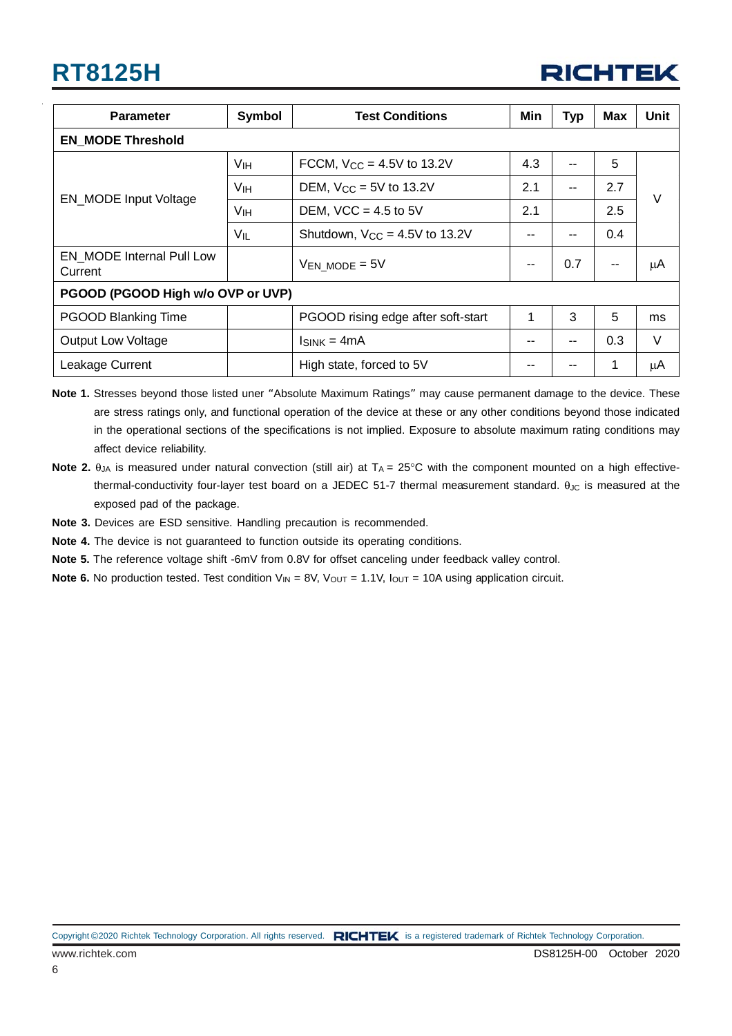

| <b>Parameter</b>                     | Symbol               | <b>Test Conditions</b>             | Min | <b>Typ</b> | <b>Max</b> | <b>Unit</b> |  |
|--------------------------------------|----------------------|------------------------------------|-----|------------|------------|-------------|--|
| <b>EN MODE Threshold</b>             |                      |                                    |     |            |            |             |  |
|                                      | V <sub>IH</sub>      | FCCM, $V_{CC} = 4.5V$ to 13.2V     |     | --         | 5          |             |  |
|                                      | VIH                  | DEM, $V_{CC} = 5V$ to 13.2V        | 2.1 |            | 2.7        | $\vee$      |  |
| <b>EN_MODE</b> Input Voltage         | V <sub>IH</sub>      | DEM, $VCC = 4.5$ to 5V             | 2.1 |            | 2.5        |             |  |
|                                      | Vil                  | Shutdown, $V_{CC} = 4.5V$ to 13.2V |     | --         | 0.4        |             |  |
| EN MODE Internal Pull Low<br>Current | $V_{EN}$ MODE = $5V$ |                                    |     | 0.7        |            | μA          |  |
| PGOOD (PGOOD High w/o OVP or UVP)    |                      |                                    |     |            |            |             |  |
| <b>PGOOD Blanking Time</b>           |                      | PGOOD rising edge after soft-start |     | 3          | 5          | ms          |  |
| Output Low Voltage                   |                      | $Isink = 4mA$                      | --  | --         | 0.3        | V           |  |
| Leakage Current                      |                      | High state, forced to 5V           |     |            |            | μA          |  |

**Note 1.** Stresses beyond those listed uner "Absolute Maximum Ratings" may cause permanent damage to the device. These are stress ratings only, and functional operation of the device at these or any other conditions beyond those indicated in the operational sections of the specifications is not implied. Exposure to absolute maximum rating conditions may affect device reliability.

- **Note 2.**  $\theta_{JA}$  is measured under natural convection (still air) at  $T_A = 25^\circ$ C with the component mounted on a high effectivethermal-conductivity four-layer test board on a JEDEC 51-7 thermal measurement standard.  $\theta_{\text{JC}}$  is measured at the exposed pad of the package.
- **Note 3.** Devices are ESD sensitive. Handling precaution is recommended.
- **Note 4.** The device is not guaranteed to function outside its operating conditions.

**Note 5.** The reference voltage shift -6mV from 0.8V for offset canceling under feedback valley control.

**Note 6.** No production tested. Test condition  $V_{IN} = 8V$ ,  $V_{OUT} = 1.1V$ ,  $I_{OUT} = 10A$  using application circuit.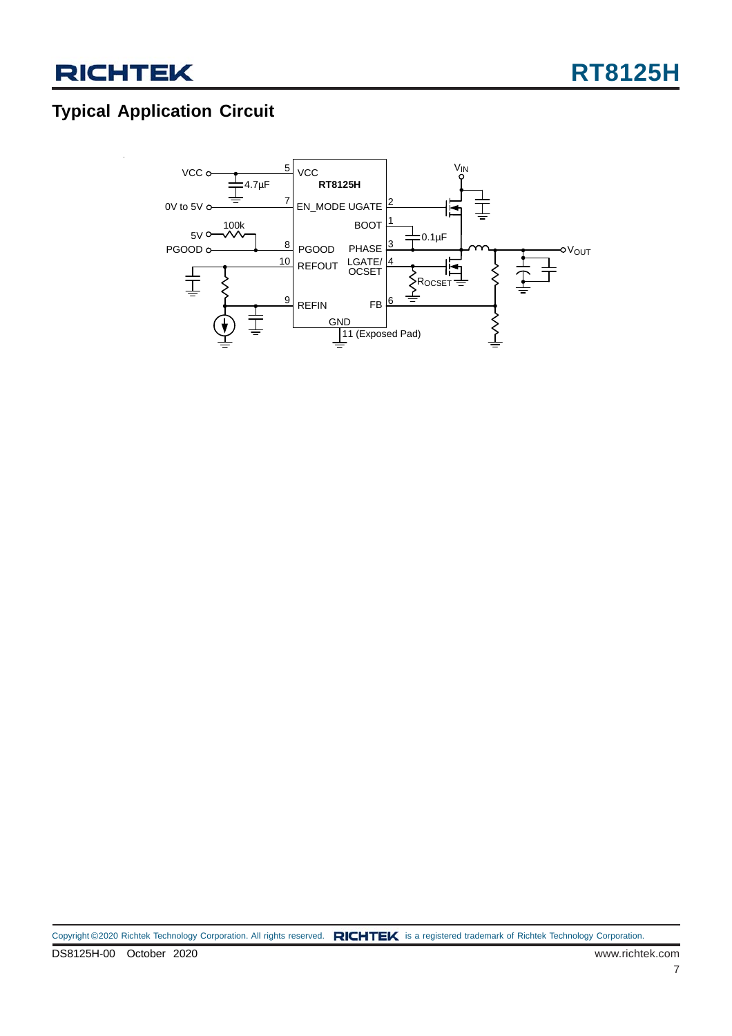## **Typical Application Circuit**

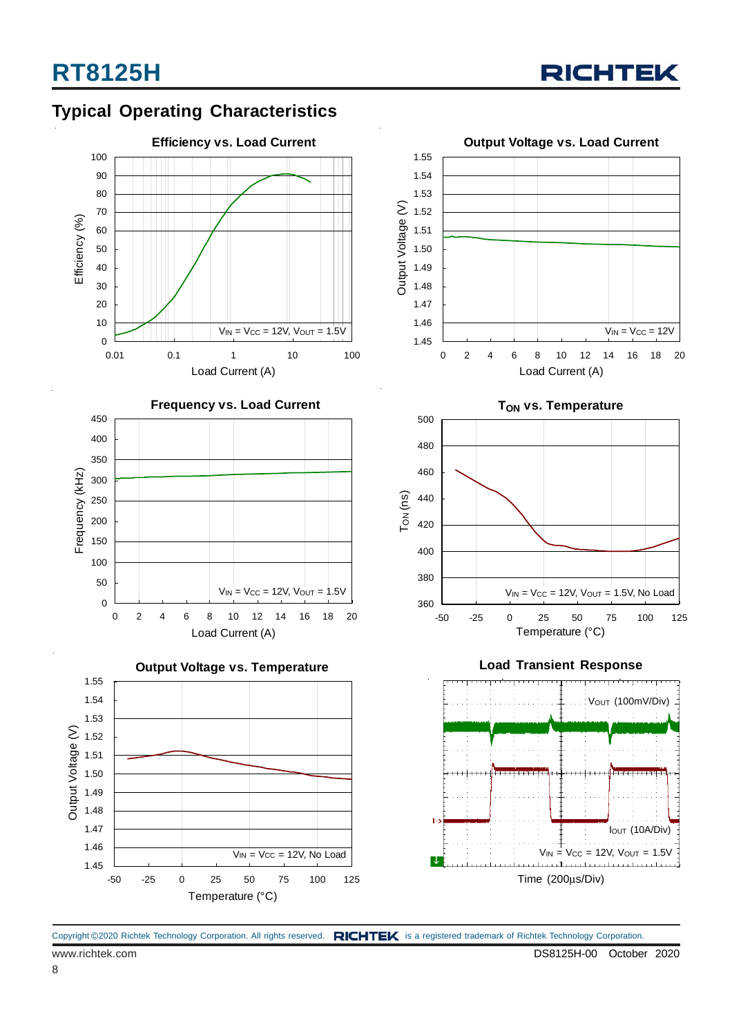

### **Typical Operating Characteristics**











**Load Transient Response**



Copyright ©2020 Richtek Technology Corporation. All rights reserved. RICHTEK is a registered trademark of Richtek Technology Corporation.

8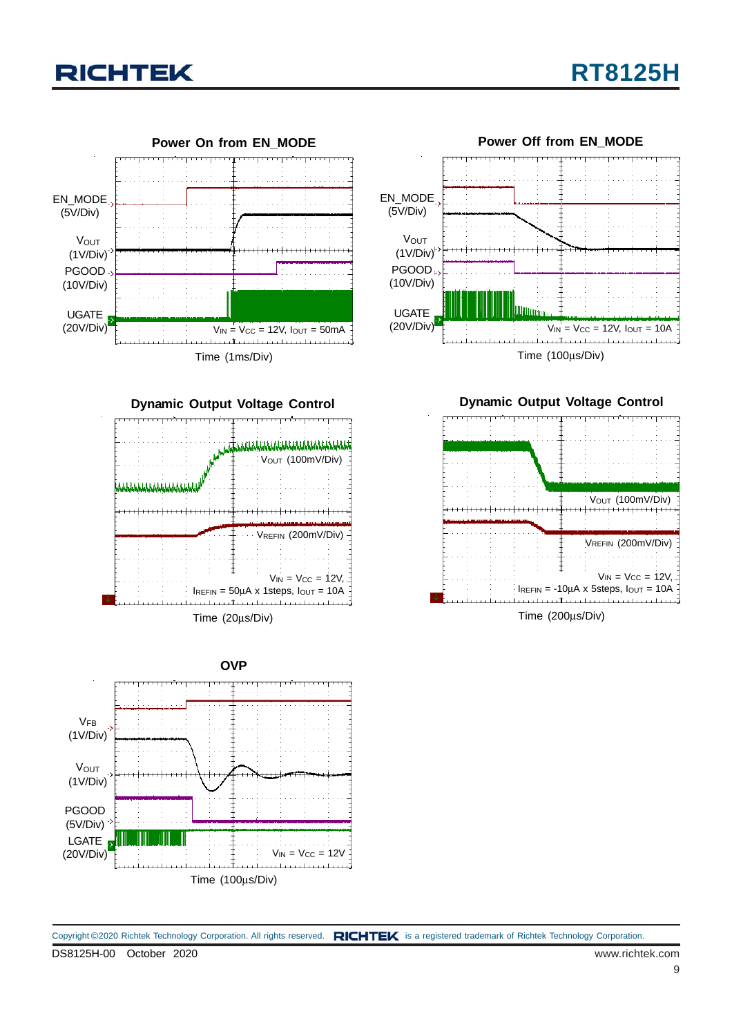





**Dynamic Output Voltage Control**





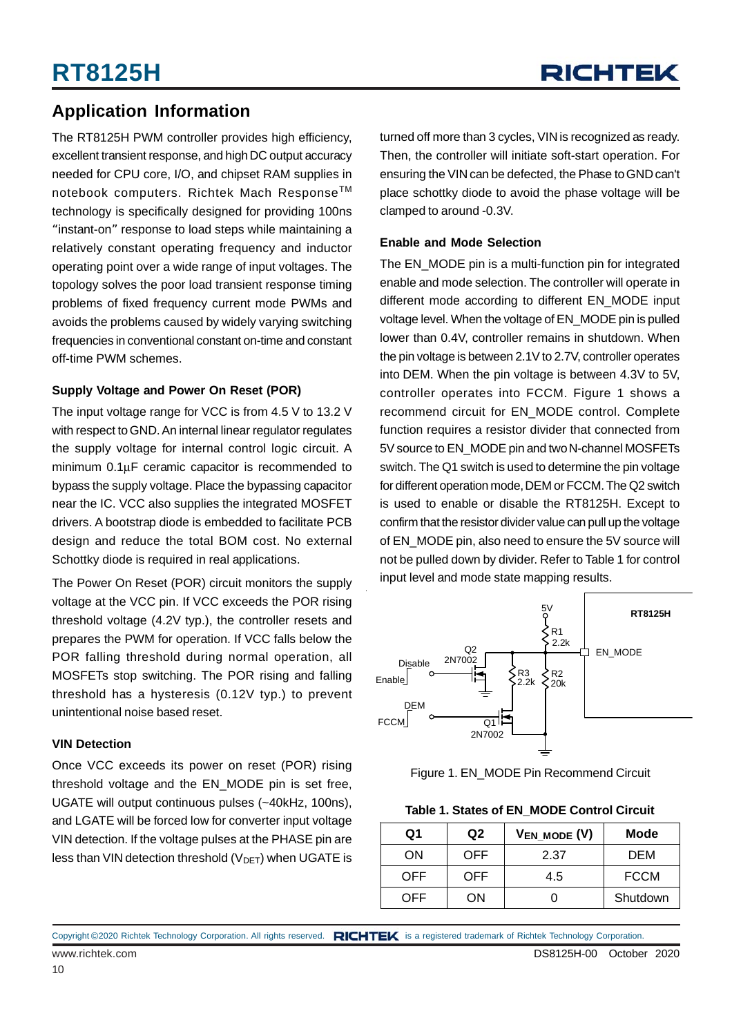### **Application Information**

The RT8125H PWM controller provides high efficiency, excellent transient response, and high DC output accuracy needed for CPU core, I/O, and chipset RAM supplies in notebook computers. Richtek Mach Response™ technology is specifically designed for providing 100ns "instant-on" response to load steps while maintaining a relatively constant operating frequency and inductor operating point over a wide range of input voltages. The topology solves the poor load transient response timing problems of fixed frequency current mode PWMs and avoids the problems caused by widely varying switching frequencies in conventional constant on-time and constant off-time PWM schemes.

#### **Supply Voltage and Power On Reset (POR)**

The input voltage range for VCC is from 4.5 V to 13.2 V with respect to GND. An internal linear regulator regulates the supply voltage for internal control logic circuit. A minimum 0.1μF ceramic capacitor is recommended to bypass the supply voltage. Place the bypassing capacitor near the IC. VCC also supplies the integrated MOSFET drivers. A bootstrap diode is embedded to facilitate PCB design and reduce the total BOM cost. No external Schottky diode is required in real applications.

The Power On Reset (POR) circuit monitors the supply voltage at the VCC pin. If VCC exceeds the POR rising threshold voltage (4.2V typ.), the controller resets and prepares the PWM for operation. If VCC falls below the POR falling threshold during normal operation, all MOSFETs stop switching. The POR rising and falling threshold has a hysteresis (0.12V typ.) to prevent unintentional noise based reset.

#### **VIN Detection**

Once VCC exceeds its power on reset (POR) rising threshold voltage and the EN\_MODE pin is set free, UGATE will output continuous pulses (~40kHz, 100ns), and LGATE will be forced low for converter input voltage VIN detection. If the voltage pulses at the PHASE pin are less than VIN detection threshold  $(V_{DET})$  when UGATE is turned off more than 3 cycles, VIN is recognized as ready. Then, the controller will initiate soft-start operation. For ensuring the VIN can be defected, the Phase to GND can't place schottky diode to avoid the phase voltage will be clamped to around -0.3V.

#### **Enable and Mode Selection**

The EN\_MODE pin is a multi-function pin for integrated enable and mode selection. The controller will operate in different mode according to different EN\_MODE input voltage level. When the voltage of EN\_MODE pin is pulled lower than 0.4V, controller remains in shutdown. When the pin voltage is between 2.1V to 2.7V, controller operates into DEM. When the pin voltage is between 4.3V to 5V, controller operates into FCCM. Figure 1 shows a recommend circuit for EN\_MODE control. Complete function requires a resistor divider that connected from 5V source to EN\_MODE pin and two N-channel MOSFETs switch. The Q1 switch is used to determine the pin voltage for different operation mode, DEM or FCCM. The Q2 switch is used to enable or disable the RT8125H. Except to confirm that the resistor divider value can pull up the voltage of EN\_MODE pin, also need to ensure the 5V source will not be pulled down by divider. Refer to Table 1 for control input level and mode state mapping results.



#### Figure 1. EN\_MODE Pin Recommend Circuit

#### **Table 1. States of EN\_MODE Control Circuit**

| Q1   | Q <sub>2</sub> | $V_{EN_MODE}(V)$ | <b>Mode</b> |
|------|----------------|------------------|-------------|
| ON   | OFF.           | 2.37             | DEM         |
| OFF. | OFF.           | 4.5              | <b>FCCM</b> |
| OFF  | OΝ             |                  | Shutdown    |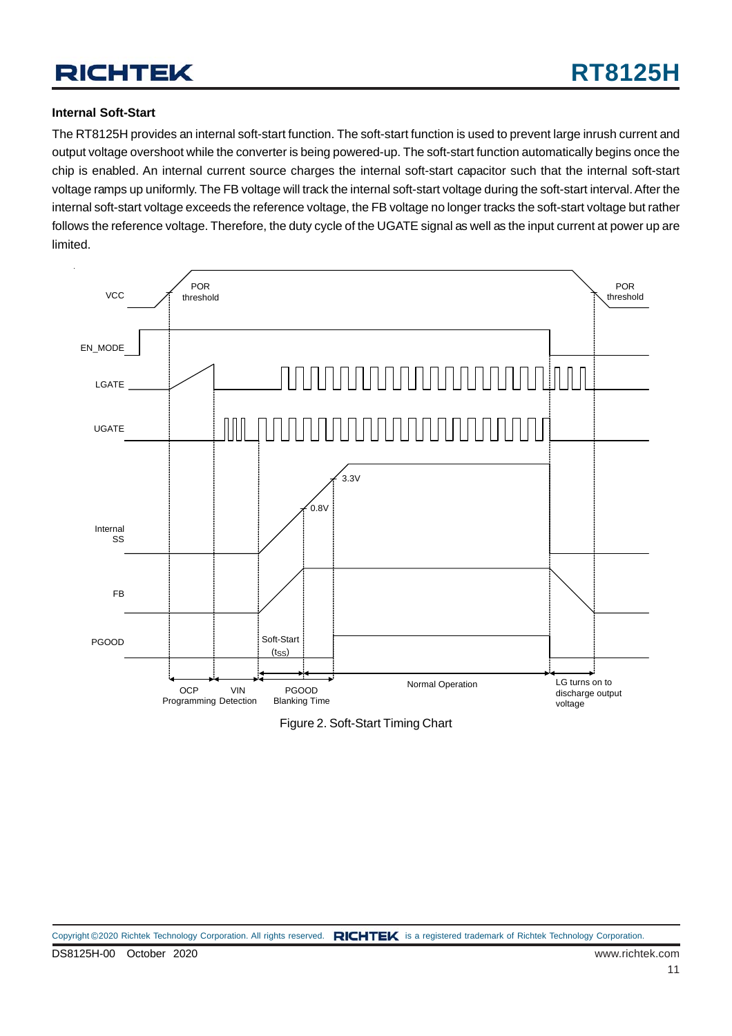#### **Internal Soft-Start**

The RT8125H provides an internal soft-start function. The soft-start function is used to prevent large inrush current and output voltage overshoot while the converter is being powered-up. The soft-start function automatically begins once the chip is enabled. An internal current source charges the internal soft-start capacitor such that the internal soft-start voltage ramps up uniformly. The FB voltage will track the internal soft-start voltage during the soft-start interval. After the internal soft-start voltage exceeds the reference voltage, the FB voltage no longer tracks the soft-start voltage but rather follows the reference voltage. Therefore, the duty cycle of the UGATE signal as well as the input current at power up are limited.



Figure 2. Soft-Start Timing Chart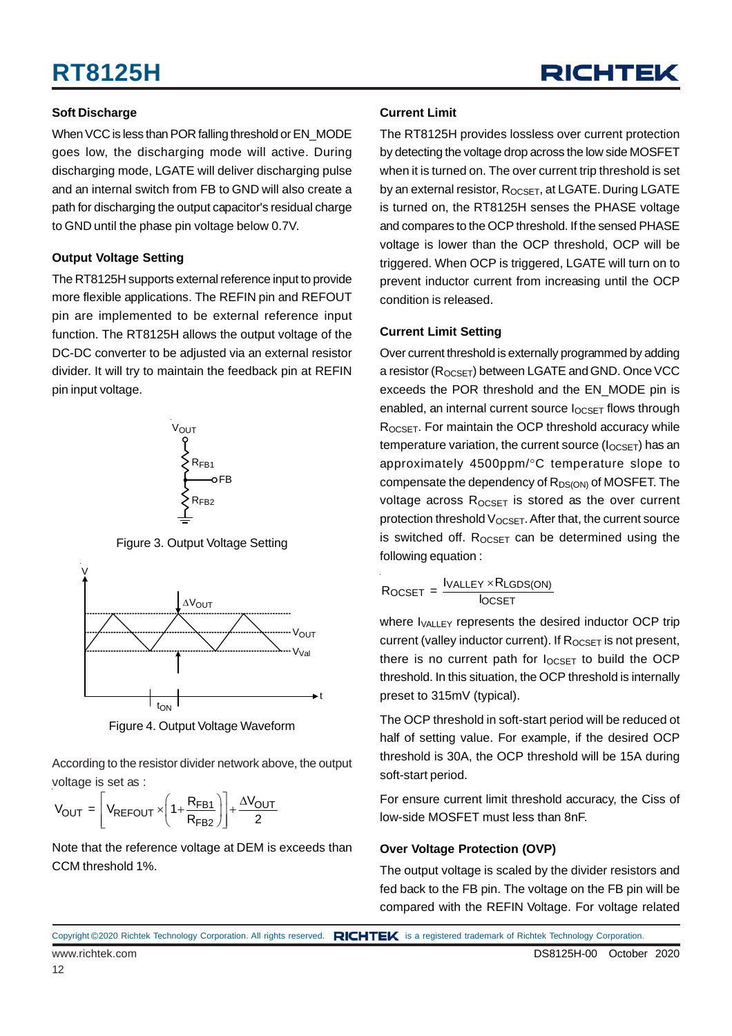

#### **Soft Discharge**

When VCC is less than POR falling threshold or EN\_MODE goes low, the discharging mode will active. During discharging mode, LGATE will deliver discharging pulse and an internal switch from FB to GND will also create a path for discharging the output capacitor's residual charge to GND until the phase pin voltage below 0.7V.

#### **Output Voltage Setting**

The RT8125H supports external reference input to provide more flexible applications. The REFIN pin and REFOUT pin are implemented to be external reference input function. The RT8125H allows the output voltage of the DC-DC converter to be adjusted via an external resistor divider. It will try to maintain the feedback pin at REFIN pin input voltage.



Figure 3. Output Voltage Setting



Figure 4. Output Voltage Waveform

According to the resistor divider network above, the output voltage is set as :

$$
V_{OUT} = \left[ V_{REFOUT} \times \left( 1 + \frac{R_{FB1}}{R_{FB2}} \right) \right] + \frac{\Delta V_{OUT}}{2}
$$

Note that the reference voltage at DEM is exceeds than CCM threshold 1%.

#### **Current Limit**

The RT8125H provides lossless over current protection by detecting the voltage drop across the low side MOSFET when it is turned on. The over current trip threshold is set by an external resistor,  $R_{OCSFT}$ , at LGATE. During LGATE is turned on, the RT8125H senses the PHASE voltage and compares to the OCP threshold. If the sensed PHASE voltage is lower than the OCP threshold, OCP will be triggered. When OCP is triggered, LGATE will turn on to prevent inductor current from increasing until the OCP condition is released.

#### **Current Limit Setting**

Over current threshold is externally programmed by adding a resistor (R<sub>OCSET</sub>) between LGATE and GND. Once VCC exceeds the POR threshold and the EN\_MODE pin is enabled, an internal current source  $I_{OCSET}$  flows through ROCSET. For maintain the OCP threshold accuracy while temperature variation, the current source  $(I_{OCSET})$  has an approximately 4500ppm/°C temperature slope to compensate the dependency of  $R_{DS(ON)}$  of MOSFET. The voltage across  $R_{OCSET}$  is stored as the over current protection threshold  $V_{OCSET}$ . After that, the current source is switched off.  $R_{OCSET}$  can be determined using the following equation :

$$
R_{OCSET} = \frac{I_{VALLEY} \times R_{LGDS(ON)}}{I_{OCSET}}
$$

where I<sub>VALLEY</sub> represents the desired inductor OCP trip current (valley inductor current). If  $R_{OCSFT}$  is not present, there is no current path for  $I_{OCSFT}$  to build the OCP threshold. In this situation, the OCP threshold is internally preset to 315mV (typical).

The OCP threshold in soft-start period will be reduced ot half of setting value. For example, if the desired OCP threshold is 30A, the OCP threshold will be 15A during soft-start period.

For ensure current limit threshold accuracy, the Ciss of low-side MOSFET must less than 8nF.

#### **Over Voltage Protection (OVP)**

The output voltage is scaled by the divider resistors and fed back to the FB pin. The voltage on the FB pin will be compared with the REFIN Voltage. For voltage related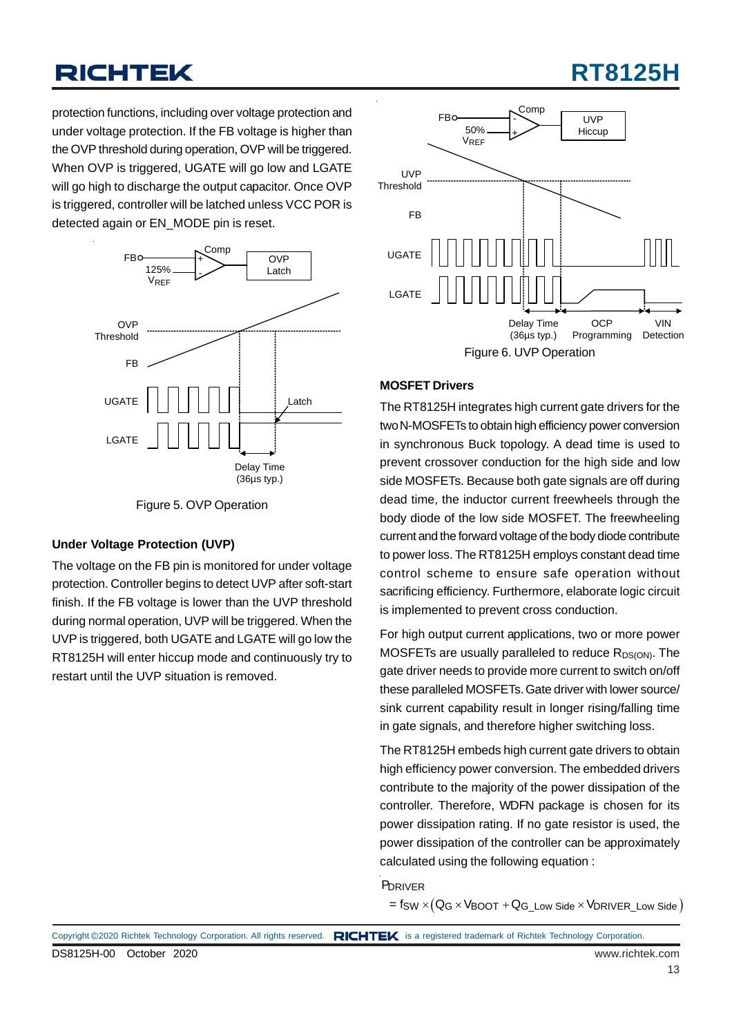## **RT8125H**

protection functions, including over voltage protection and under voltage protection. If the FB voltage is higher than the OVP threshold during operation, OVP will be triggered. When OVP is triggered, UGATE will go low and LGATE will go high to discharge the output capacitor. Once OVP is triggered, controller will be latched unless VCC POR is detected again or EN\_MODE pin is reset.



Figure 5. OVP Operation

#### **Under Voltage Protection (UVP)**

The voltage on the FB pin is monitored for under voltage protection. Controller begins to detect UVP after soft-start finish. If the FB voltage is lower than the UVP threshold during normal operation, UVP will be triggered. When the UVP is triggered, both UGATE and LGATE will go low the RT8125H will enter hiccup mode and continuously try to restart until the UVP situation is removed.



#### **MOSFET Drivers**

The RT8125H integrates high current gate drivers for the two N-MOSFETs to obtain high efficiency power conversion in synchronous Buck topology. A dead time is used to prevent crossover conduction for the high side and low side MOSFETs. Because both gate signals are off during dead time, the inductor current freewheels through the body diode of the low side MOSFET. The freewheeling current and the forward voltage of the body diode contribute to power loss. The RT8125H employs constant dead time control scheme to ensure safe operation without sacrificing efficiency. Furthermore, elaborate logic circuit is implemented to prevent cross conduction.

For high output current applications, two or more power MOSFETs are usually paralleled to reduce  $R_{DS(ON)}$ . The gate driver needs to provide more current to switch on/off these paralleled MOSFETs. Gate driver with lower source/ sink current capability result in longer rising/falling time in gate signals, and therefore higher switching loss.

The RT8125H embeds high current gate drivers to obtain high efficiency power conversion. The embedded drivers contribute to the majority of the power dissipation of the controller. Therefore, WDFN package is chosen for its power dissipation rating. If no gate resistor is used, the power dissipation of the controller can be approximately calculated using the following equation :

#### P<sub>DRIVER</sub>

 $\mathsf{S} = \mathsf{f}_{\mathsf{SW}} \times (\mathsf{Q}_{\mathsf{G}} \times \mathsf{V}_{\mathsf{BOOT}} + \mathsf{Q}_{\mathsf{G\_Low}})$  Side  $\mathsf{S} \times \mathsf{V}_{\mathsf{DRIVER\_Low}}$  Side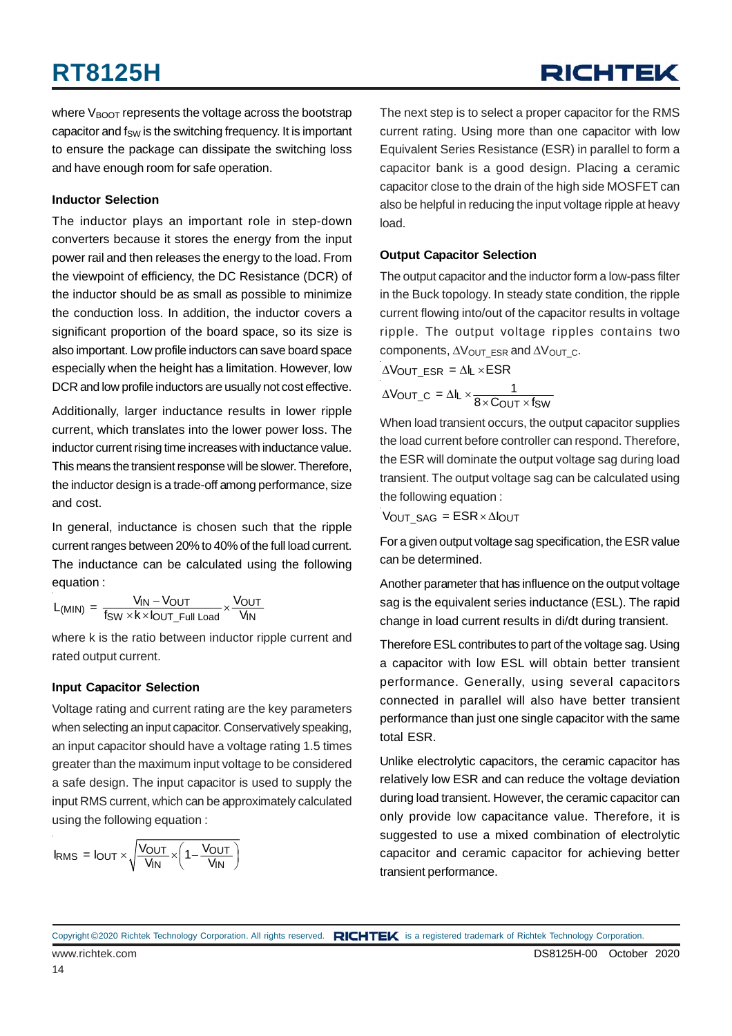## **RICHTEK**

where  $V_{\text{BOOT}}$  represents the voltage across the bootstrap capacitor and  $f_{SW}$  is the switching frequency. It is important to ensure the package can dissipate the switching loss and have enough room for safe operation.

#### **Inductor Selection**

The inductor plays an important role in step-down converters because it stores the energy from the input power rail and then releases the energy to the load. From the viewpoint of efficiency, the DC Resistance (DCR) of the inductor should be as small as possible to minimize the conduction loss. In addition, the inductor covers a significant proportion of the board space, so its size is also important. Low profile inductors can save board space especially when the height has a limitation. However, low DCR and low profile inductors are usually not cost effective.

Additionally, larger inductance results in lower ripple current, which translates into the lower power loss. The inductor current rising time increases with inductance value. This means the transient response will be slower. Therefore, the inductor design is a trade-off among performance, size and cost.

In general, inductance is chosen such that the ripple current ranges between 20% to 40% of the full load current. The inductance can be calculated using the following equation :

 $L_{(\text{MIN})} = \frac{V_{\text{IN}} - V_{\text{OUT}}}{f_{\text{SW}} \times k \times l_{\text{OUT\_Full Load}}} \times \frac{V_{\text{OUT}}}{V_{\text{IN}}}$ 

where k is the ratio between inductor ripple current and rated output current.

#### **Input Capacitor Selection**

Voltage rating and current rating are the key parameters when selecting an input capacitor. Conservatively speaking, an input capacitor should have a voltage rating 1.5 times greater than the maximum input voltage to be considered a safe design. The input capacitor is used to supply the input RMS current, which can be approximately calculated using the following equation :

$$
I_{RMS} = I_{OUT} \times \sqrt{\frac{V_{OUT}}{V_{IN}} \times \left(1 - \frac{V_{OUT}}{V_{IN}}\right)}
$$

The next step is to select a proper capacitor for the RMS current rating. Using more than one capacitor with low Equivalent Series Resistance (ESR) in parallel to form a capacitor bank is a good design. Placing a ceramic capacitor close to the drain of the high side MOSFET can also be helpful in reducing the input voltage ripple at heavy load.

#### **Output Capacitor Selection**

The output capacitor and the inductor form a low-pass filter in the Buck topology. In steady state condition, the ripple current flowing into/out of the capacitor results in voltage ripple. The output voltage ripples contains two components,  $\Delta V_{\text{OUT\_ESR}}$  and  $\Delta V_{\text{OUT\_C}}$ .

 $\Delta$ VOUT ESR =  $\Delta$ IL × ESR

$$
\Delta V_{\text{OUT\_C}} = \Delta I_{\text{L}} \times \frac{1}{8 \times C_{\text{OUT}} \times f_{\text{SW}}}
$$

When load transient occurs, the output capacitor supplies the load current before controller can respond. Therefore, the ESR will dominate the output voltage sag during load transient. The output voltage sag can be calculated using the following equation :

 $V_{OUT\_SAG} = ESR \times \Delta I_{OUT}$ 

For a given output voltage sag specification, the ESR value can be determined.

Another parameter that has influence on the output voltage sag is the equivalent series inductance (ESL). The rapid change in load current results in di/dt during transient.

Therefore ESL contributes to part of the voltage sag. Using a capacitor with low ESL will obtain better transient performance. Generally, using several capacitors connected in parallel will also have better transient performance than just one single capacitor with the same total ESR.

Unlike electrolytic capacitors, the ceramic capacitor has relatively low ESR and can reduce the voltage deviation during load transient. However, the ceramic capacitor can only provide low capacitance value. Therefore, it is suggested to use a mixed combination of electrolytic capacitor and ceramic capacitor for achieving better transient performance.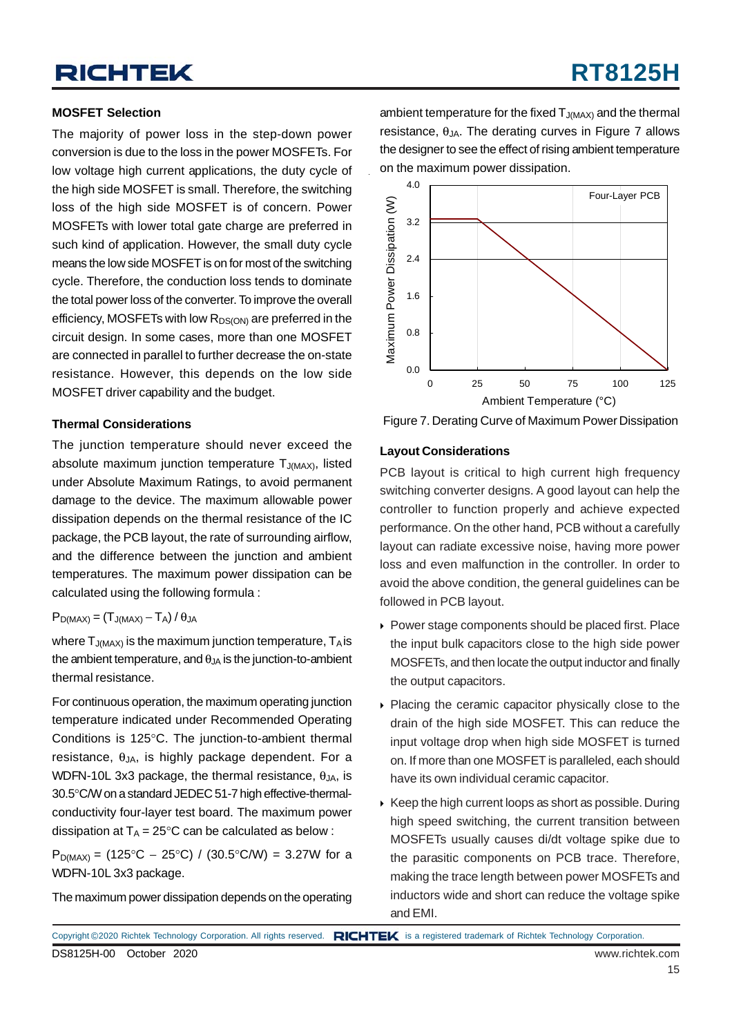#### **MOSFET Selection**

The majority of power loss in the step-down power conversion is due to the loss in the power MOSFETs. For low voltage high current applications, the duty cycle of the high side MOSFET is small. Therefore, the switching loss of the high side MOSFET is of concern. Power MOSFETs with lower total gate charge are preferred in such kind of application. However, the small duty cycle means the low side MOSFET is on for most of the switching cycle. Therefore, the conduction loss tends to dominate the total power loss of the converter. To improve the overall efficiency, MOSFETs with low  $R_{DS(ON)}$  are preferred in the circuit design. In some cases, more than one MOSFET are connected in parallel to further decrease the on-state resistance. However, this depends on the low side MOSFET driver capability and the budget.

#### **Thermal Considerations**

The junction temperature should never exceed the absolute maximum junction temperature  $T_{J(MAX)}$ , listed under Absolute Maximum Ratings, to avoid permanent damage to the device. The maximum allowable power dissipation depends on the thermal resistance of the IC package, the PCB layout, the rate of surrounding airflow, and the difference between the junction and ambient temperatures. The maximum power dissipation can be calculated using the following formula :

#### $P_{D(MAX)} = (T_{J(MAX)} - T_A) / \theta_{JA}$

where  $T_{J(MAX)}$  is the maximum junction temperature,  $T_A$  is the ambient temperature, and  $\theta_{JA}$  is the junction-to-ambient thermal resistance.

For continuous operation, the maximum operating junction temperature indicated under Recommended Operating Conditions is 125°C. The junction-to-ambient thermal resistance,  $\theta_{JA}$ , is highly package dependent. For a WDFN-10L 3x3 package, the thermal resistance,  $\theta_{\text{IA}}$ , is 30.5°C/W on a standard JEDEC 51-7 high effective-thermalconductivity four-layer test board. The maximum power dissipation at  $T_A = 25^{\circ}$ C can be calculated as below :

 $P_{D(MAX)} = (125^{\circ}C - 25^{\circ}C) / (30.5^{\circ}C/W) = 3.27W$  for a WDFN-10L 3x3 package.

The maximum power dissipation depends on the operating

ambient temperature for the fixed  $T_{J(MAX)}$  and the thermal resistance,  $θ_{JA}$ . The derating curves in Figure 7 allows the designer to see the effect of rising ambient temperature on the maximum power dissipation.



Figure 7. Derating Curve of Maximum Power Dissipation

#### **Layout Considerations**

PCB layout is critical to high current high frequency switching converter designs. A good layout can help the controller to function properly and achieve expected performance. On the other hand, PCB without a carefully layout can radiate excessive noise, having more power loss and even malfunction in the controller. In order to avoid the above condition, the general guidelines can be followed in PCB layout.

- Power stage components should be placed first. Place the input bulk capacitors close to the high side power MOSFETs, and then locate the output inductor and finally the output capacitors.
- Placing the ceramic capacitor physically close to the drain of the high side MOSFET. This can reduce the input voltage drop when high side MOSFET is turned on. If more than one MOSFET is paralleled, each should have its own individual ceramic capacitor.
- $\triangleright$  Keep the high current loops as short as possible. During high speed switching, the current transition between MOSFETs usually causes di/dt voltage spike due to the parasitic components on PCB trace. Therefore, making the trace length between power MOSFETs and inductors wide and short can reduce the voltage spike and EMI.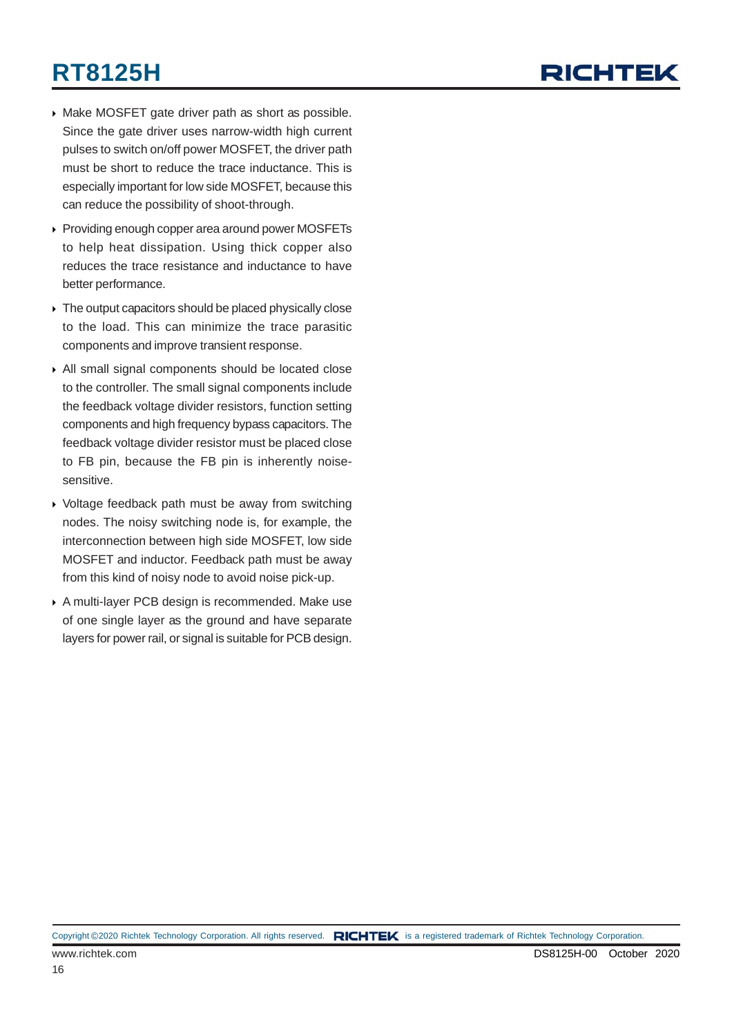

- Make MOSFET gate driver path as short as possible. Since the gate driver uses narrow-width high current pulses to switch on/off power MOSFET, the driver path must be short to reduce the trace inductance. This is especially important for low side MOSFET, because this can reduce the possibility of shoot-through.
- ▶ Providing enough copper area around power MOSFETs to help heat dissipation. Using thick copper also reduces the trace resistance and inductance to have better performance.
- $\triangleright$  The output capacitors should be placed physically close to the load. This can minimize the trace parasitic components and improve transient response.
- All small signal components should be located close to the controller. The small signal components include the feedback voltage divider resistors, function setting components and high frequency bypass capacitors. The feedback voltage divider resistor must be placed close to FB pin, because the FB pin is inherently noisesensitive.
- Voltage feedback path must be away from switching nodes. The noisy switching node is, for example, the interconnection between high side MOSFET, low side MOSFET and inductor. Feedback path must be away from this kind of noisy node to avoid noise pick-up.
- A multi-layer PCB design is recommended. Make use of one single layer as the ground and have separate layers for power rail, or signal is suitable for PCB design.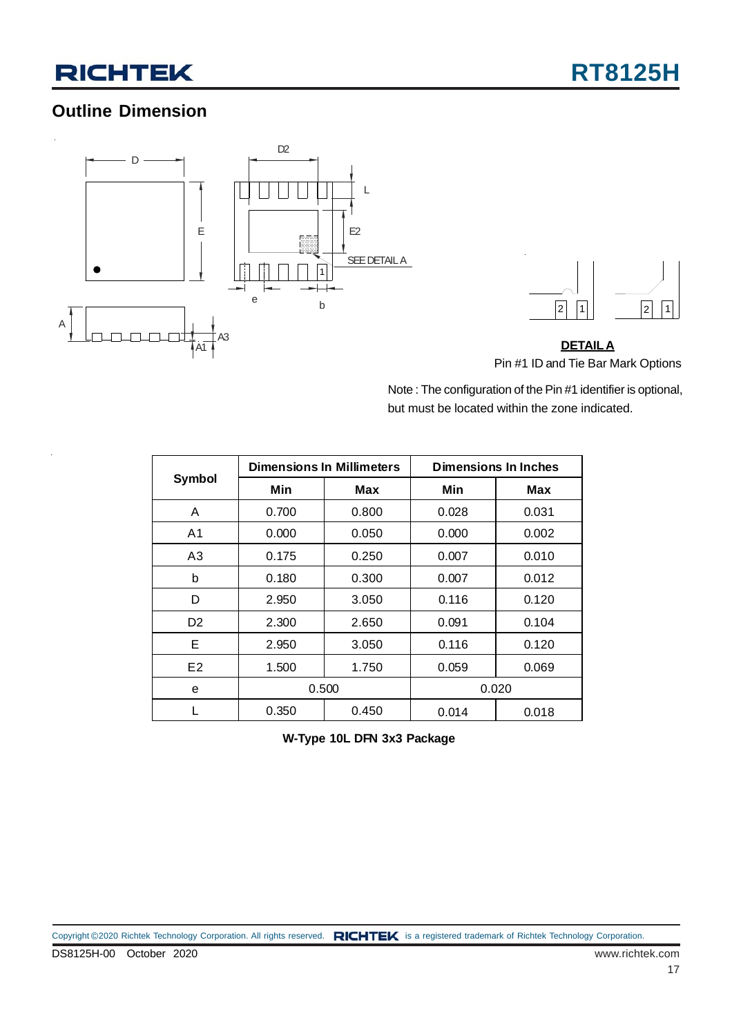### **Outline Dimension**





**DETAILA** Pin #1 ID and Tie Bar Mark Options

Note : The configuration of the Pin #1 identifier is optional, but must be located within the zone indicated.

|                |       | <b>Dimensions In Millimeters</b> | <b>Dimensions In Inches</b> |       |  |  |
|----------------|-------|----------------------------------|-----------------------------|-------|--|--|
| <b>Symbol</b>  | Min   | Max                              | Min                         | Max   |  |  |
| A              | 0.700 | 0.800                            | 0.028                       | 0.031 |  |  |
| A1             | 0.000 | 0.050                            | 0.000                       | 0.002 |  |  |
| A3             | 0.175 | 0.250                            | 0.007                       | 0.010 |  |  |
| b              | 0.180 | 0.300                            | 0.007                       | 0.012 |  |  |
| D              | 2.950 | 3.050                            | 0.116                       | 0.120 |  |  |
| D <sub>2</sub> | 2.300 | 2.650                            | 0.091                       | 0.104 |  |  |
| Е              | 2.950 | 3.050                            | 0.116                       | 0.120 |  |  |
| E2             | 1.500 | 1.750                            | 0.059                       | 0.069 |  |  |
| e              | 0.500 |                                  | 0.020                       |       |  |  |
|                | 0.350 | 0.450                            | 0.014                       | 0.018 |  |  |

**W-Type 10L DFN 3x3 Package**